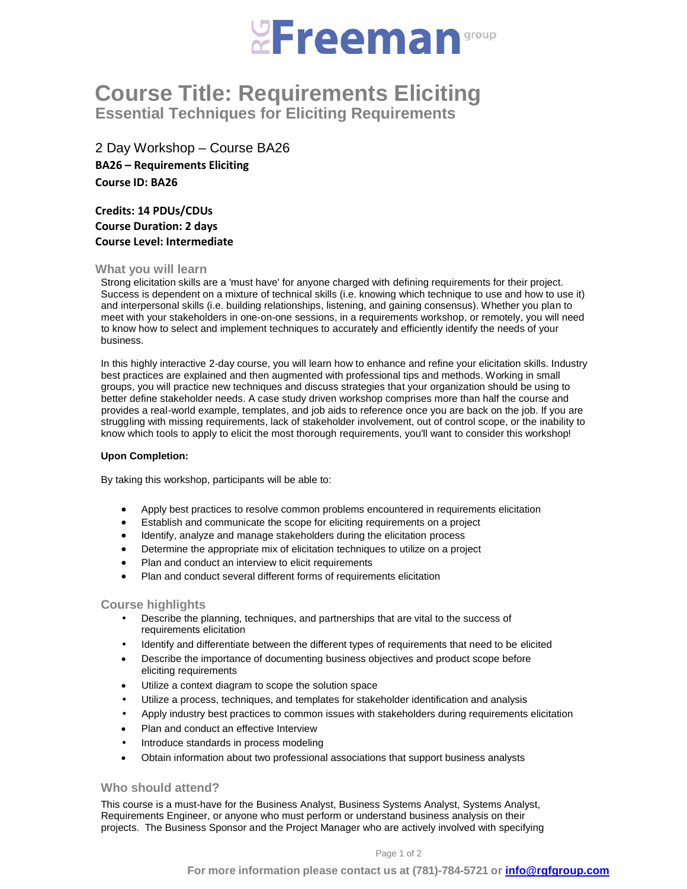

# **Course Title: Requirements Eliciting Essential Techniques for Eliciting Requirements**

2 Day Workshop – Course BA26 **BA26 – Requirements Eliciting Course ID: BA26**

**Credits: 14 PDUs/CDUs Course Duration: 2 days Course Level: Intermediate**

# **What you will learn**

Strong elicitation skills are a 'must have' for anyone charged with defining requirements for their project. Success is dependent on a mixture of technical skills (i.e. knowing which technique to use and how to use it) and interpersonal skills (i.e. building relationships, listening, and gaining consensus). Whether you plan to meet with your stakeholders in one-on-one sessions, in a requirements workshop, or remotely, you will need to know how to select and implement techniques to accurately and efficiently identify the needs of your business.

In this highly interactive 2-day course, you will learn how to enhance and refine your elicitation skills. Industry best practices are explained and then augmented with professional tips and methods. Working in small groups, you will practice new techniques and discuss strategies that your organization should be using to better define stakeholder needs. A case study driven workshop comprises more than half the course and provides a real-world example, templates, and job aids to reference once you are back on the job. If you are struggling with missing requirements, lack of stakeholder involvement, out of control scope, or the inability to know which tools to apply to elicit the most thorough requirements, you'll want to consider this workshop!

# **Upon Completion:**

By taking this workshop, participants will be able to:

- Apply best practices to resolve common problems encountered in requirements elicitation
- Establish and communicate the scope for eliciting requirements on a project
- Identify, analyze and manage stakeholders during the elicitation process
- Determine the appropriate mix of elicitation techniques to utilize on a project
- Plan and conduct an interview to elicit requirements
- Plan and conduct several different forms of requirements elicitation

# **Course highlights**

- Describe the planning, techniques, and partnerships that are vital to the success of requirements elicitation
- Identify and differentiate between the different types of requirements that need to be elicited
- Describe the importance of documenting business objectives and product scope before eliciting requirements
- Utilize a context diagram to scope the solution space
- Utilize a process, techniques, and templates for stakeholder identification and analysis
- Apply industry best practices to common issues with stakeholders during requirements elicitation
- Plan and conduct an effective Interview
- Introduce standards in process modeling
- Obtain information about two professional associations that support business analysts

# **Who should attend?**

This course is a must-have for the Business Analyst, Business Systems Analyst, Systems Analyst, Requirements Engineer, or anyone who must perform or understand business analysis on their projects. The Business Sponsor and the Project Manager who are actively involved with specifying